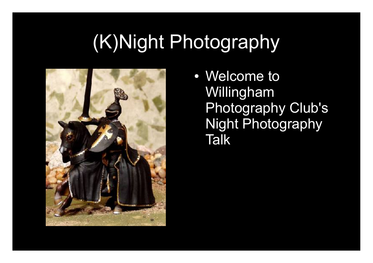## (K)Night Photography



• Welcome to Willingham Photography Club's Night Photography Talk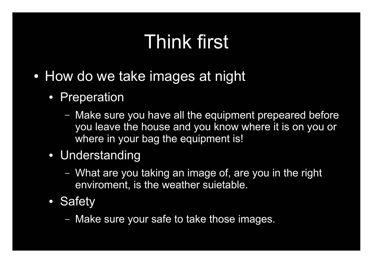## Think first

- How do we take images at night
	- Preperation
		- Make sure you have all the equipment prepeared before you leave the house and you know where it is on you or where in your bag the equipment is!
	- Understanding
		- What are you taking an image of, are you in the right enviroment, is the weather suietable.
	- Safety
		- Make sure your safe to take those images.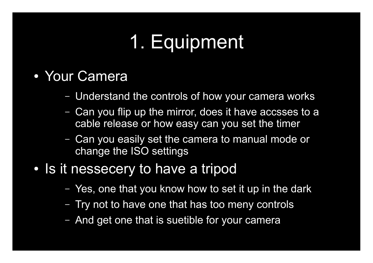# 1. Equipment

- Your Camera
	- Understand the controls of how your camera works
	- Can you flip up the mirror, does it have accsses to a cable release or how easy can you set the timer
	- Can you easily set the camera to manual mode or change the ISO settings
- Is it nessecery to have a tripod
	- Yes, one that you know how to set it up in the dark
	- Try not to have one that has too meny controls
	- And get one that is suetible for your camera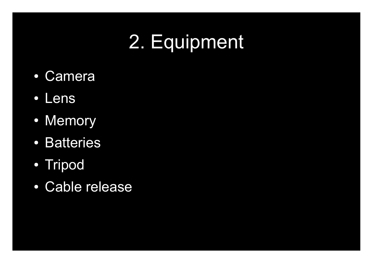## 2. Equipment

- Camera
- Lens
- Memory
- Batteries
- Tripod
- Cable release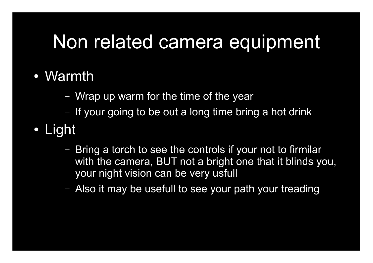#### Non related camera equipment

- Warmth
	- Wrap up warm for the time of the year
	- If your going to be out a long time bring a hot drink
- Light
	- Bring a torch to see the controls if your not to firmilar with the camera, BUT not a bright one that it blinds you, your night vision can be very usfull
	- Also it may be usefull to see your path your treading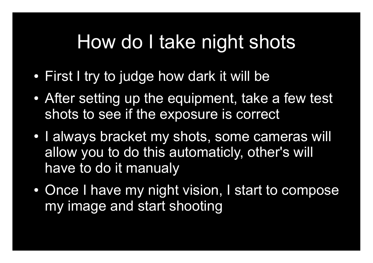### How do I take night shots

- First I try to judge how dark it will be
- After setting up the equipment, take a few test shots to see if the exposure is correct
- I always bracket my shots, some cameras will allow you to do this automaticly, other's will have to do it manualy
- Once I have my night vision, I start to compose my image and start shooting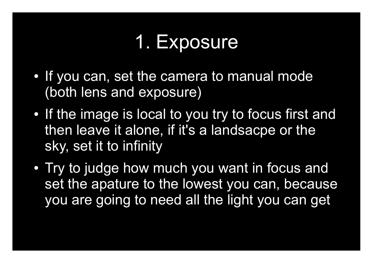### 1. Exposure

- If you can, set the camera to manual mode (both lens and exposure)
- If the image is local to you try to focus first and then leave it alone, if it's a landsacpe or the sky, set it to infinity
- Try to judge how much you want in focus and set the apature to the lowest you can, because you are going to need all the light you can get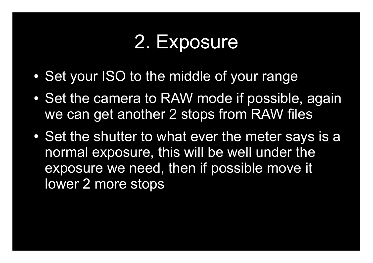## 2. Exposure

- Set your ISO to the middle of your range
- Set the camera to RAW mode if possible, again we can get another 2 stops from RAW files
- Set the shutter to what ever the meter says is a normal exposure, this will be well under the exposure we need, then if possible move it lower 2 more stops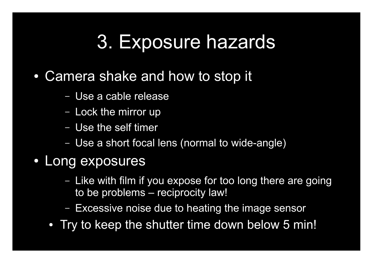### 3. Exposure hazards

- Camera shake and how to stop it
	- Use a cable release
	- Lock the mirror up
	- Use the self timer
	- Use a short focal lens (normal to wide-angle)
- Long exposures
	- Like with film if you expose for too long there are going to be problems – reciprocity law!
	- Excessive noise due to heating the image sensor
	- Try to keep the shutter time down below 5 min!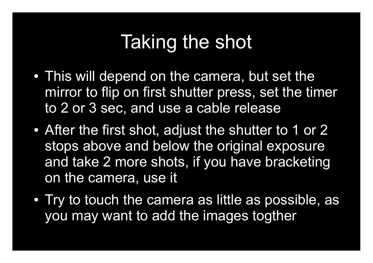### Taking the shot

- This will depend on the camera, but set the mirror to flip on first shutter press, set the timer to 2 or 3 sec, and use a cable release
- After the first shot, adjust the shutter to 1 or 2 stops above and below the original exposure and take 2 more shots, if you have bracketing on the camera, use it
- Try to touch the camera as little as possible, as you may want to add the images togther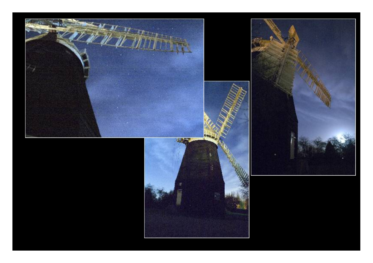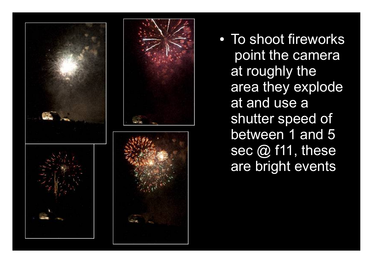

• To shoot fireworks point the camera at roughly the area they explode at and use a shutter speed of between 1 and 5 sec @ f11, these are bright events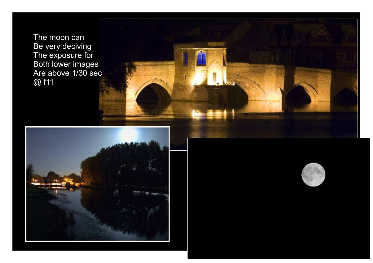The moon can Be very deciving The exposure for Both lower images Are above 1/30 sec @ f11





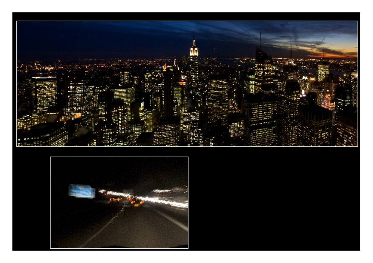

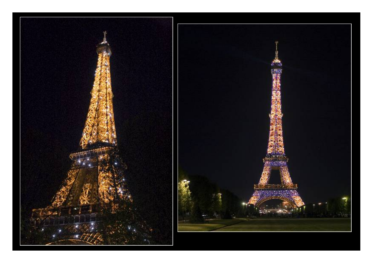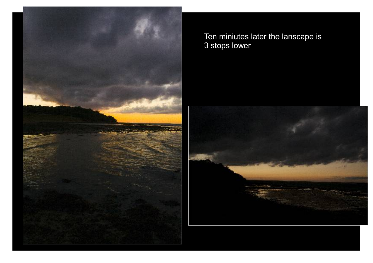

Ten miniutes later the lanscape is<br>3 stops lower

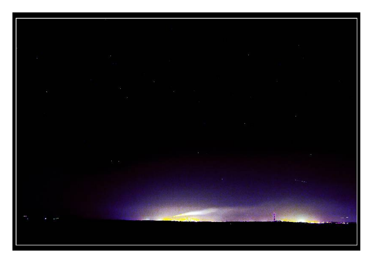. . .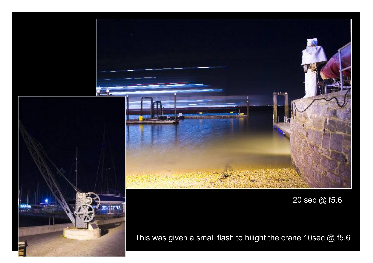

This was given a small flash to hilight the crane 10sec @ f5.6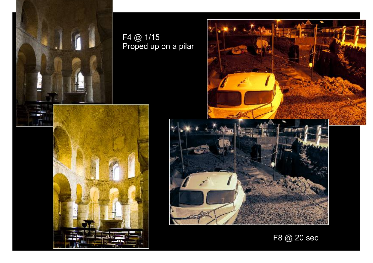

F4 @ 1/15 Proped up on a pilar





F8 @ 20 sec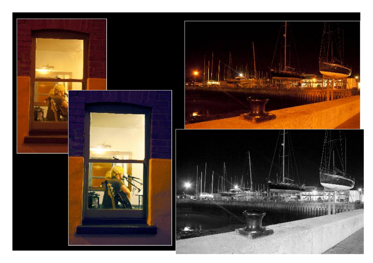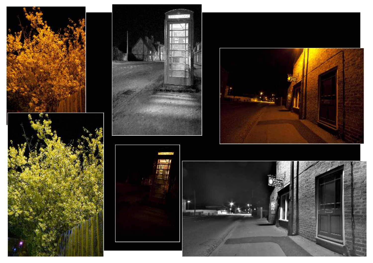







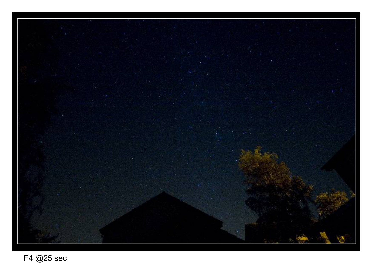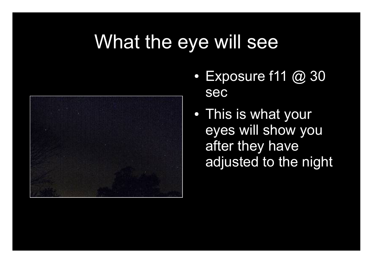#### What the eye will see



- $\cdot$  Exposure f11  $\omega$  30 sec
- This is what your eyes will show you after they have adjusted to the night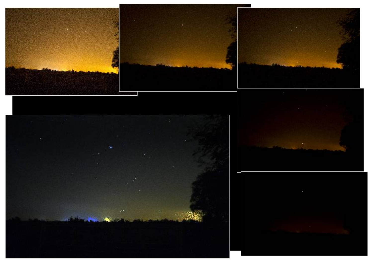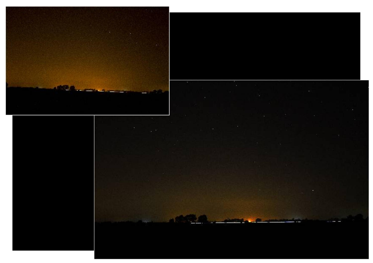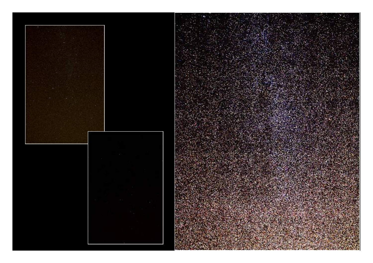